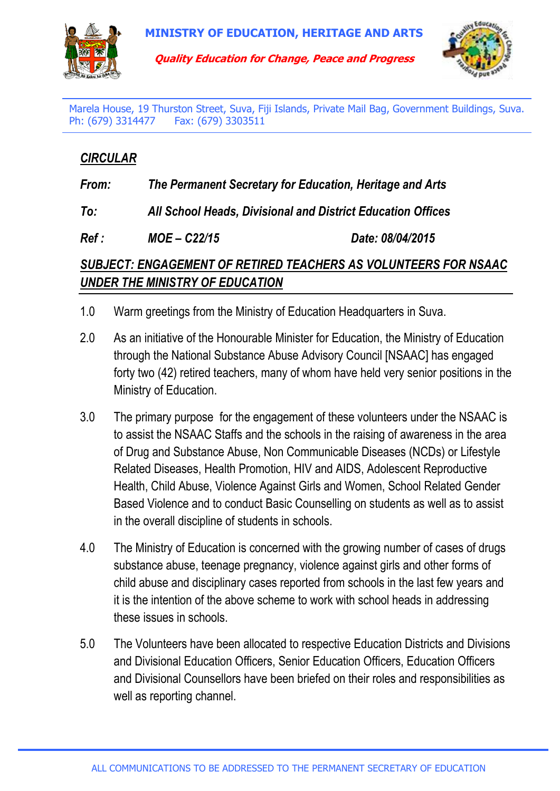





Marela House, 19 Thurston Street, Suva, Fiji Islands, Private Mail Bag, Government Buildings, Suva. Ph: (679) 3314477 Fax: (679) 3303511

## *CIRCULAR*

*From: The Permanent Secretary for Education, Heritage and Arts* 

*To: All School Heads, Divisional and District Education Offices*

*Ref : MOE – C22/15 Date: 08/04/2015* 

## *SUBJECT: ENGAGEMENT OF RETIRED TEACHERS AS VOLUNTEERS FOR NSAAC UNDER THE MINISTRY OF EDUCATION*

- 1.0 Warm greetings from the Ministry of Education Headquarters in Suva.
- 2.0 As an initiative of the Honourable Minister for Education, the Ministry of Education through the National Substance Abuse Advisory Council [NSAAC] has engaged forty two (42) retired teachers, many of whom have held very senior positions in the Ministry of Education.
- 3.0 The primary purpose for the engagement of these volunteers under the NSAAC is to assist the NSAAC Staffs and the schools in the raising of awareness in the area of Drug and Substance Abuse, Non Communicable Diseases (NCDs) or Lifestyle Related Diseases, Health Promotion, HIV and AIDS, Adolescent Reproductive Health, Child Abuse, Violence Against Girls and Women, School Related Gender Based Violence and to conduct Basic Counselling on students as well as to assist in the overall discipline of students in schools.
- 4.0 The Ministry of Education is concerned with the growing number of cases of drugs substance abuse, teenage pregnancy, violence against girls and other forms of child abuse and disciplinary cases reported from schools in the last few years and it is the intention of the above scheme to work with school heads in addressing these issues in schools.
- 5.0 The Volunteers have been allocated to respective Education Districts and Divisions and Divisional Education Officers, Senior Education Officers, Education Officers and Divisional Counsellors have been briefed on their roles and responsibilities as well as reporting channel.